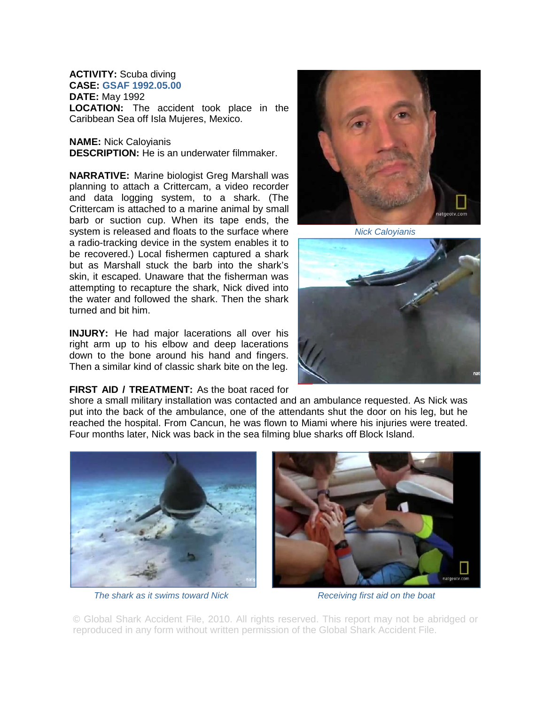## **ACTIVITY:** Scuba diving

**CASE: GSAF 1992.05.00 DATE:** May 1992

**LOCATION:** The accident took place in the Caribbean Sea off Isla Mujeres, Mexico.

## **NAME:** Nick Caloyianis **DESCRIPTION:** He is an underwater filmmaker.

**NARRATIVE:** Marine biologist Greg Marshall was planning to attach a Crittercam, a video recorder and data logging system, to a shark. (The Crittercam is attached to a marine animal by small barb or suction cup. When its tape ends, the system is released and floats to the surface where a radio-tracking device in the system enables it to be recovered.) Local fishermen captured a shark but as Marshall stuck the barb into the shark's skin, it escaped. Unaware that the fisherman was attempting to recapture the shark, Nick dived into the water and followed the shark. Then the shark turned and bit him.

**INJURY:** He had major lacerations all over his right arm up to his elbow and deep lacerations down to the bone around his hand and fingers. Then a similar kind of classic shark bite on the leg.

## **FIRST AID / TREATMENT:** As the boat raced for

shore a small military installation was contacted and an ambulance requested. As Nick was put into the back of the ambulance, one of the attendants shut the door on his leg, but he reached the hospital. From Cancun, he was flown to Miami where his injuries were treated. Four months later, Nick was back in the sea filming blue sharks off Block Island.



*The shark as it swims toward Nick* **Receiving first aid on the boat** 



*Nick Caloyianis* 





© Global Shark Accident File, 2010. All rights reserved. This report may not be abridged or reproduced in any form without written permission of the Global Shark Accident File.